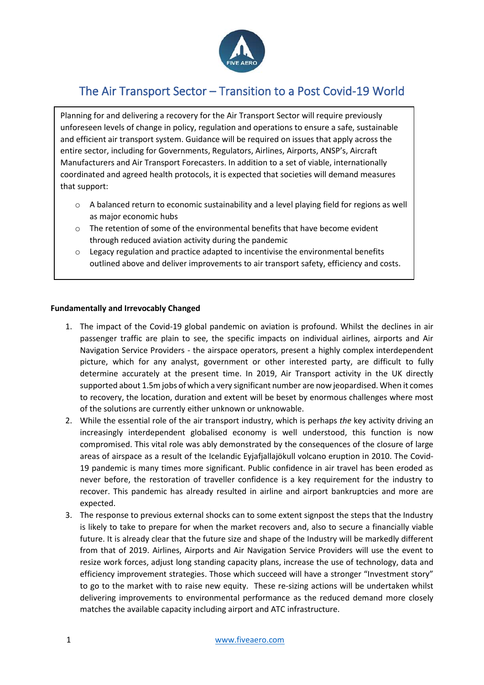

# The Air Transport Sector – Transition to a Post Covid-19 World

Planning for and delivering a recovery for the Air Transport Sector will require previously unforeseen levels of change in policy, regulation and operations to ensure a safe, sustainable and efficient air transport system. Guidance will be required on issues that apply across the entire sector, including for Governments, Regulators, Airlines, Airports, ANSP's, Aircraft Manufacturers and Air Transport Forecasters. In addition to a set of viable, internationally coordinated and agreed health protocols, it is expected that societies will demand measures that support:

- $\circ$  A balanced return to economic sustainability and a level playing field for regions as well as major economic hubs
- o The retention of some of the environmental benefits that have become evident through reduced aviation activity during the pandemic
- o Legacy regulation and practice adapted to incentivise the environmental benefits outlined above and deliver improvements to air transport safety, efficiency and costs.

#### **Fundamentally and Irrevocably Changed**

- 1. The impact of the Covid-19 global pandemic on aviation is profound. Whilst the declines in air passenger traffic are plain to see, the specific impacts on individual airlines, airports and Air Navigation Service Providers - the airspace operators, present a highly complex interdependent picture, which for any analyst, government or other interested party, are difficult to fully determine accurately at the present time. In 2019, Air Transport activity in the UK directly supported about 1.5m jobs of which a very significant number are now jeopardised. When it comes to recovery, the location, duration and extent will be beset by enormous challenges where most of the solutions are currently either unknown or unknowable.
- 2. While the essential role of the air transport industry, which is perhaps *the* key activity driving an increasingly interdependent globalised economy is well understood, this function is now compromised. This vital role was ably demonstrated by the consequences of the closure of large areas of airspace as a result of the Icelandic Eyjafjallajökull volcano eruption in 2010. The Covid-19 pandemic is many times more significant. Public confidence in air travel has been eroded as never before, the restoration of traveller confidence is a key requirement for the industry to recover. This pandemic has already resulted in airline and airport bankruptcies and more are expected.
- 3. The response to previous external shocks can to some extent signpost the steps that the Industry is likely to take to prepare for when the market recovers and, also to secure a financially viable future. It is already clear that the future size and shape of the Industry will be markedly different from that of 2019. Airlines, Airports and Air Navigation Service Providers will use the event to resize work forces, adjust long standing capacity plans, increase the use of technology, data and efficiency improvement strategies. Those which succeed will have a stronger "Investment story" to go to the market with to raise new equity. These re-sizing actions will be undertaken whilst delivering improvements to environmental performance as the reduced demand more closely matches the available capacity including airport and ATC infrastructure.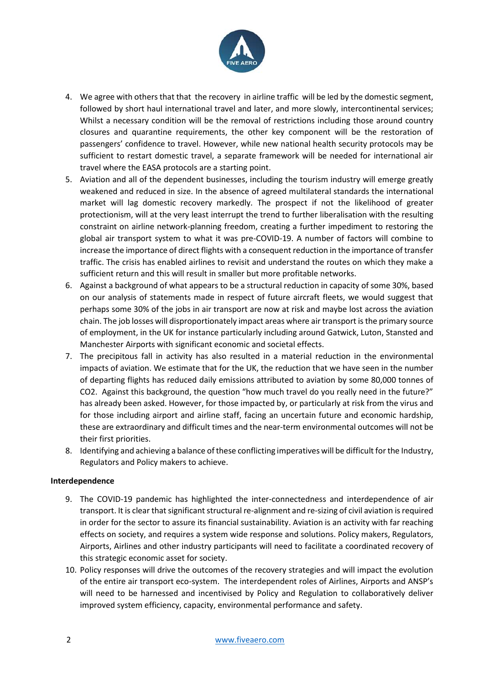

- 4. We agree with others that that the recovery in airline traffic will be led by the domestic segment, followed by short haul international travel and later, and more slowly, intercontinental services; Whilst a necessary condition will be the removal of restrictions including those around country closures and quarantine requirements, the other key component will be the restoration of passengers' confidence to travel. However, while new national health security protocols may be sufficient to restart domestic travel, a separate framework will be needed for international air travel where the EASA protocols are a starting point.
- 5. Aviation and all of the dependent businesses, including the tourism industry will emerge greatly weakened and reduced in size. In the absence of agreed multilateral standards the international market will lag domestic recovery markedly. The prospect if not the likelihood of greater protectionism, will at the very least interrupt the trend to further liberalisation with the resulting constraint on airline network-planning freedom, creating a further impediment to restoring the global air transport system to what it was pre-COVID-19. A number of factors will combine to increase the importance of direct flights with a consequent reduction in the importance of transfer traffic. The crisis has enabled airlines to revisit and understand the routes on which they make a sufficient return and this will result in smaller but more profitable networks.
- 6. Against a background of what appears to be a structural reduction in capacity of some 30%, based on our analysis of statements made in respect of future aircraft fleets, we would suggest that perhaps some 30% of the jobs in air transport are now at risk and maybe lost across the aviation chain. The job losses will disproportionately impact areas where air transport is the primary source of employment, in the UK for instance particularly including around Gatwick, Luton, Stansted and Manchester Airports with significant economic and societal effects.
- 7. The precipitous fall in activity has also resulted in a material reduction in the environmental impacts of aviation. We estimate that for the UK, the reduction that we have seen in the number of departing flights has reduced daily emissions attributed to aviation by some 80,000 tonnes of CO2. Against this background, the question "how much travel do you really need in the future?" has already been asked. However, for those impacted by, or particularly at risk from the virus and for those including airport and airline staff, facing an uncertain future and economic hardship, these are extraordinary and difficult times and the near-term environmental outcomes will not be their first priorities.
- 8. Identifying and achieving a balance of these conflicting imperatives will be difficult for the Industry, Regulators and Policy makers to achieve.

#### **Interdependence**

- 9. The COVID-19 pandemic has highlighted the inter-connectedness and interdependence of air transport. It is clear that significant structural re-alignment and re-sizing of civil aviation is required in order for the sector to assure its financial sustainability. Aviation is an activity with far reaching effects on society, and requires a system wide response and solutions. Policy makers, Regulators, Airports, Airlines and other industry participants will need to facilitate a coordinated recovery of this strategic economic asset for society.
- 10. Policy responses will drive the outcomes of the recovery strategies and will impact the evolution of the entire air transport eco-system. The interdependent roles of Airlines, Airports and ANSP's will need to be harnessed and incentivised by Policy and Regulation to collaboratively deliver improved system efficiency, capacity, environmental performance and safety.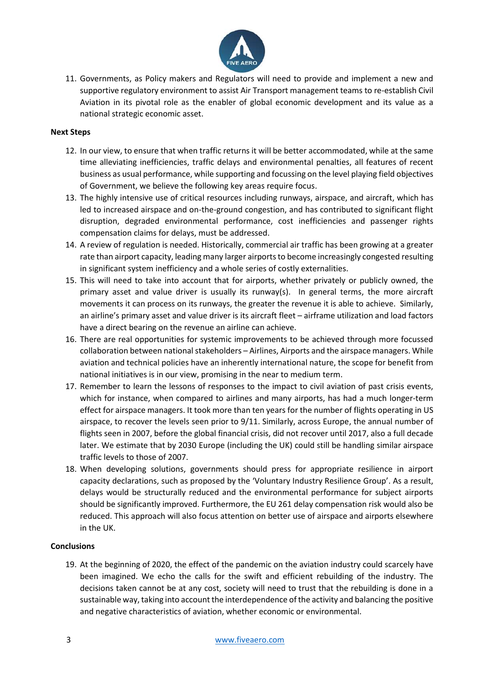

11. Governments, as Policy makers and Regulators will need to provide and implement a new and supportive regulatory environment to assist Air Transport management teams to re-establish Civil Aviation in its pivotal role as the enabler of global economic development and its value as a national strategic economic asset.

#### **Next Steps**

- 12. In our view, to ensure that when traffic returns it will be better accommodated, while at the same time alleviating inefficiencies, traffic delays and environmental penalties, all features of recent business as usual performance, while supporting and focussing on the level playing field objectives of Government, we believe the following key areas require focus.
- 13. The highly intensive use of critical resources including runways, airspace, and aircraft, which has led to increased airspace and on-the-ground congestion, and has contributed to significant flight disruption, degraded environmental performance, cost inefficiencies and passenger rights compensation claims for delays, must be addressed.
- 14. A review of regulation is needed. Historically, commercial air traffic has been growing at a greater rate than airport capacity, leading many larger airports to become increasingly congested resulting in significant system inefficiency and a whole series of costly externalities.
- 15. This will need to take into account that for airports, whether privately or publicly owned, the primary asset and value driver is usually its runway(s). In general terms, the more aircraft movements it can process on its runways, the greater the revenue it is able to achieve. Similarly, an airline's primary asset and value driver is its aircraft fleet – airframe utilization and load factors have a direct bearing on the revenue an airline can achieve.
- 16. There are real opportunities for systemic improvements to be achieved through more focussed collaboration between national stakeholders – Airlines, Airports and the airspace managers. While aviation and technical policies have an inherently international nature, the scope for benefit from national initiatives is in our view, promising in the near to medium term.
- 17. Remember to learn the lessons of responses to the impact to civil aviation of past crisis events, which for instance, when compared to airlines and many airports, has had a much longer-term effect for airspace managers. It took more than ten years for the number of flights operating in US airspace, to recover the levels seen prior to 9/11. Similarly, across Europe, the annual number of flights seen in 2007, before the global financial crisis, did not recover until 2017, also a full decade later. We estimate that by 2030 Europe (including the UK) could still be handling similar airspace traffic levels to those of 2007.
- 18. When developing solutions, governments should press for appropriate resilience in airport capacity declarations, such as proposed by the 'Voluntary Industry Resilience Group'. As a result, delays would be structurally reduced and the environmental performance for subject airports should be significantly improved. Furthermore, the EU 261 delay compensation risk would also be reduced. This approach will also focus attention on better use of airspace and airports elsewhere in the UK.

#### **Conclusions**

19. At the beginning of 2020, the effect of the pandemic on the aviation industry could scarcely have been imagined. We echo the calls for the swift and efficient rebuilding of the industry. The decisions taken cannot be at any cost, society will need to trust that the rebuilding is done in a sustainable way, taking into account the interdependence of the activity and balancing the positive and negative characteristics of aviation, whether economic or environmental.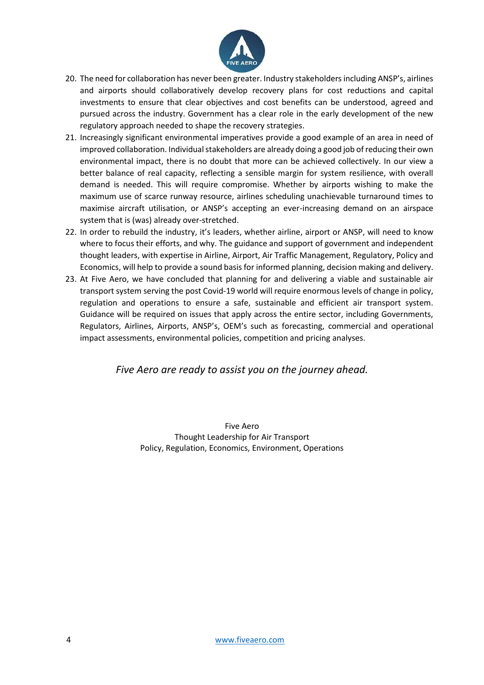

- 20. The need for collaboration has never been greater. Industry stakeholders including ANSP's, airlines and airports should collaboratively develop recovery plans for cost reductions and capital investments to ensure that clear objectives and cost benefits can be understood, agreed and pursued across the industry. Government has a clear role in the early development of the new regulatory approach needed to shape the recovery strategies.
- 21. Increasingly significant environmental imperatives provide a good example of an area in need of improved collaboration. Individual stakeholders are already doing a good job of reducing their own environmental impact, there is no doubt that more can be achieved collectively. In our view a better balance of real capacity, reflecting a sensible margin for system resilience, with overall demand is needed. This will require compromise. Whether by airports wishing to make the maximum use of scarce runway resource, airlines scheduling unachievable turnaround times to maximise aircraft utilisation, or ANSP's accepting an ever-increasing demand on an airspace system that is (was) already over-stretched.
- 22. In order to rebuild the industry, it's leaders, whether airline, airport or ANSP, will need to know where to focus their efforts, and why. The guidance and support of government and independent thought leaders, with expertise in Airline, Airport, Air Traffic Management, Regulatory, Policy and Economics, will help to provide a sound basis for informed planning, decision making and delivery.
- 23. At Five Aero, we have concluded that planning for and delivering a viable and sustainable air transport system serving the post Covid-19 world will require enormous levels of change in policy, regulation and operations to ensure a safe, sustainable and efficient air transport system. Guidance will be required on issues that apply across the entire sector, including Governments, Regulators, Airlines, Airports, ANSP's, OEM's such as forecasting, commercial and operational impact assessments, environmental policies, competition and pricing analyses.

## *Five Aero are ready to assist you on the journey ahead.*

Five Aero Thought Leadership for Air Transport Policy, Regulation, Economics, Environment, Operations